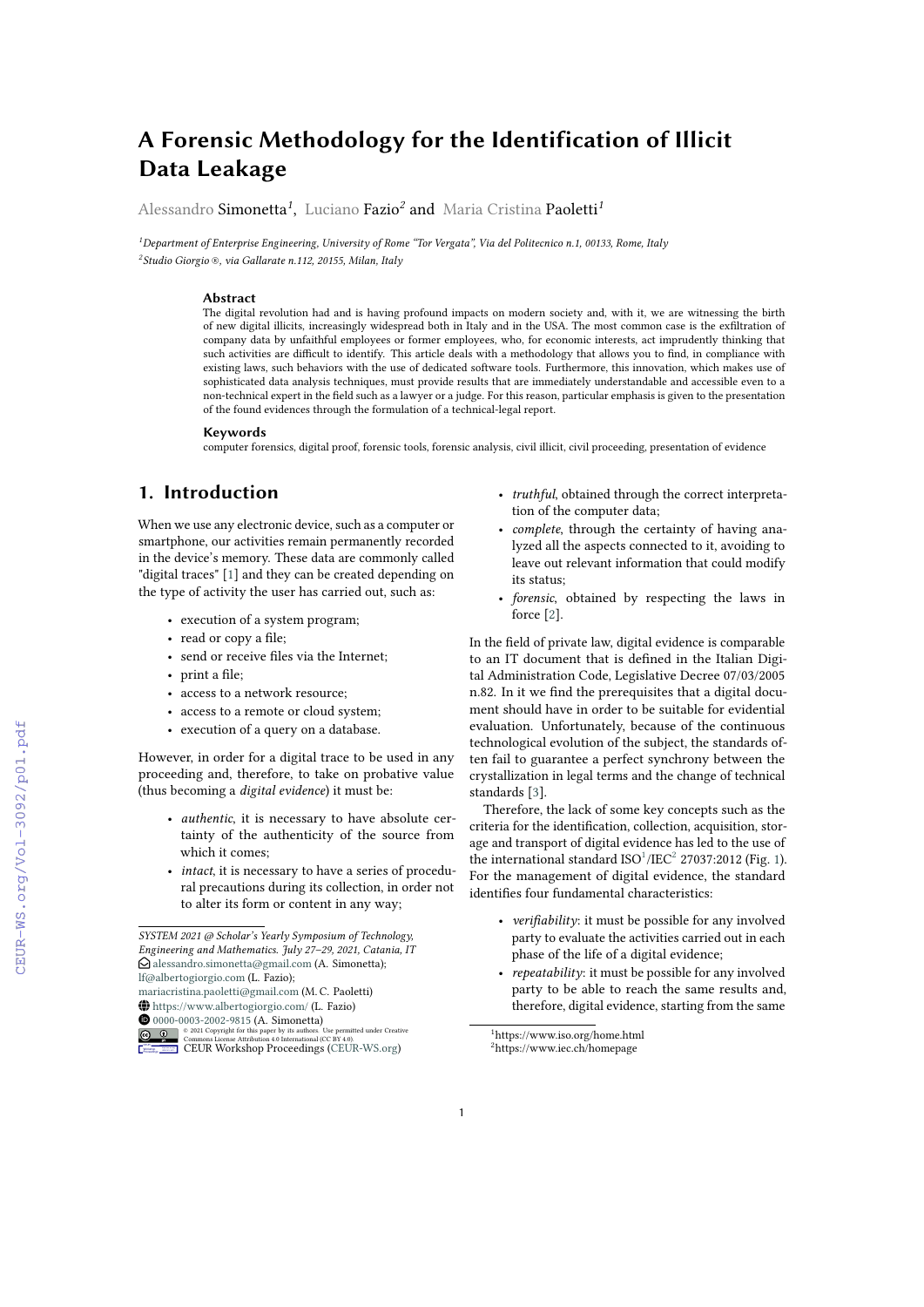# **A Forensic Methodology for the Identification of Illicit Data Leakage**

Alessandro Simonetta*<sup>1</sup>* , Luciano Fazio*<sup>2</sup>* and Maria Cristina Paoletti*<sup>1</sup>*

*<sup>1</sup>Department of Enterprise Engineering, University of Rome "Tor Vergata", Via del Politecnico n.1, 00133, Rome, Italy 2 Studio Giorgio ®, via Gallarate n.112, 20155, Milan, Italy*

#### **Abstract**

The digital revolution had and is having profound impacts on modern society and, with it, we are witnessing the birth of new digital illicits, increasingly widespread both in Italy and in the USA. The most common case is the exfiltration of company data by unfaithful employees or former employees, who, for economic interests, act imprudently thinking that such activities are difficult to identify. This article deals with a methodology that allows you to find, in compliance with existing laws, such behaviors with the use of dedicated software tools. Furthermore, this innovation, which makes use of sophisticated data analysis techniques, must provide results that are immediately understandable and accessible even to a non-technical expert in the field such as a lawyer or a judge. For this reason, particular emphasis is given to the presentation of the found evidences through the formulation of a technical-legal report.

#### **Keywords**

computer forensics, digital proof, forensic tools, forensic analysis, civil illicit, civil proceeding, presentation of evidence

# **1. Introduction**

When we use any electronic device, such as a computer or smartphone, our activities remain permanently recorded in the device's memory. These data are commonly called "digital traces" [\[1\]](#page--1-0) and they can be created depending on the type of activity the user has carried out, such as:

- execution of a system program;
- read or copy a file;
- send or receive files via the Internet;
- print a file;
- access to a network resource;
- access to a remote or cloud system;
- execution of a query on a database.

However, in order for a digital trace to be used in any proceeding and, therefore, to take on probative value (thus becoming a *digital evidence*) it must be:

- *authentic*, it is necessary to have absolute certainty of the authenticity of the source from which it comes;
- *intact*, it is necessary to have a series of procedural precautions during its collection, in order not to alter its form or content in any way;

**1**[0000-0003-2002-9815](https://orcid.org/0000-0003-2002-9815) (A. Simonetta)



- *truthful*, obtained through the correct interpretation of the computer data;
- *complete*, through the certainty of having analyzed all the aspects connected to it, avoiding to leave out relevant information that could modify its status;
- *forensic*, obtained by respecting the laws in force [\[2\]](#page--1-1).

In the field of private law, digital evidence is comparable to an IT document that is defined in the Italian Digital Administration Code, Legislative Decree 07/03/2005 n.82. In it we find the prerequisites that a digital document should have in order to be suitable for evidential evaluation. Unfortunately, because of the continuous technological evolution of the subject, the standards often fail to guarantee a perfect synchrony between the crystallization in legal terms and the change of technical standards [\[3\]](#page--1-2).

Therefore, the lack of some key concepts such as the criteria for the identification, collection, acquisition, storage and transport of digital evidence has led to the use of the international standard  $ISO^1/IEC^2$  $ISO^1/IEC^2$  $ISO^1/IEC^2$  $ISO^1/IEC^2$  27037:2012 (Fig. [1\)](#page--1-3). For the management of digital evidence, the standard identifies four fundamental characteristics:

- *verifiability*: it must be possible for any involved party to evaluate the activities carried out in each phase of the life of a digital evidence;
- *repeatability*: it must be possible for any involved party to be able to reach the same results and, therefore, digital evidence, starting from the same

<span id="page-0-1"></span><span id="page-0-0"></span><sup>1</sup>https://www.iso.org/home.html <sup>2</sup>https://www.iec.ch/homepage

*SYSTEM 2021 @ Scholar's Yearly Symposium of Technology, Engineering and Mathematics. July 27–29, 2021, Catania, IT*  $\Omega$  [alessandro.simonetta@gmail.com](mailto:alessandro.simonetta@gmail.com) (A. Simonetta); [lf@albertogiorgio.com](mailto:lf@albertogiorgio.com) (L. Fazio); [mariacristina.paoletti@gmail.com](mailto:mariacristina.paoletti@gmail.com) (M. C. Paoletti) ~ <https://www.albertogiorgio.com/> (L. Fazio)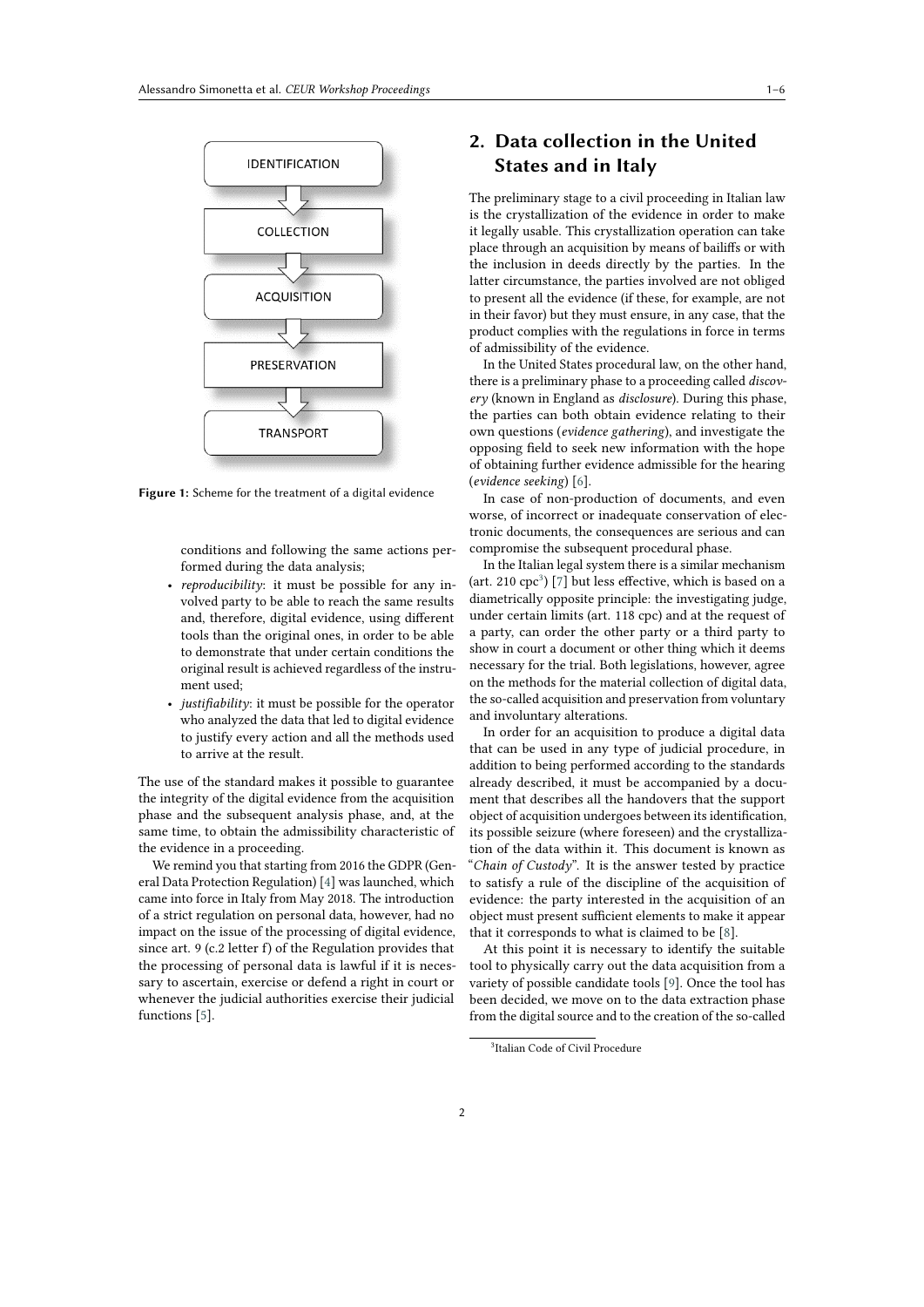

**Figure 1:** Scheme for the treatment of a digital evidence

conditions and following the same actions performed during the data analysis;

- *reproducibility*: it must be possible for any involved party to be able to reach the same results and, therefore, digital evidence, using different tools than the original ones, in order to be able to demonstrate that under certain conditions the original result is achieved regardless of the instrument used;
- *justifiability*: it must be possible for the operator who analyzed the data that led to digital evidence to justify every action and all the methods used to arrive at the result.

The use of the standard makes it possible to guarantee the integrity of the digital evidence from the acquisition phase and the subsequent analysis phase, and, at the same time, to obtain the admissibility characteristic of the evidence in a proceeding.

We remind you that starting from 2016 the GDPR (General Data Protection Regulation) [\[4\]](#page-4-0) was launched, which came into force in Italy from May 2018. The introduction of a strict regulation on personal data, however, had no impact on the issue of the processing of digital evidence, since art. 9 (c.2 letter f) of the Regulation provides that the processing of personal data is lawful if it is necessary to ascertain, exercise or defend a right in court or whenever the judicial authorities exercise their judicial functions [\[5\]](#page-4-1).

# **2. Data collection in the United States and in Italy**

The preliminary stage to a civil proceeding in Italian law is the crystallization of the evidence in order to make it legally usable. This crystallization operation can take place through an acquisition by means of bailiffs or with the inclusion in deeds directly by the parties. In the latter circumstance, the parties involved are not obliged to present all the evidence (if these, for example, are not in their favor) but they must ensure, in any case, that the product complies with the regulations in force in terms of admissibility of the evidence.

In the United States procedural law, on the other hand, there is a preliminary phase to a proceeding called *discovery* (known in England as *disclosure*). During this phase, the parties can both obtain evidence relating to their own questions (*evidence gathering*), and investigate the opposing field to seek new information with the hope of obtaining further evidence admissible for the hearing (*evidence seeking*) [\[6\]](#page-4-2).

In case of non-production of documents, and even worse, of incorrect or inadequate conservation of electronic documents, the consequences are serious and can compromise the subsequent procedural phase.

In the Italian legal system there is a similar mechanism (art. 210  $cpc<sup>3</sup>$  $cpc<sup>3</sup>$  $cpc<sup>3</sup>$ ) [\[7\]](#page-4-3) but less effective, which is based on a diametrically opposite principle: the investigating judge, under certain limits (art. 118 cpc) and at the request of a party, can order the other party or a third party to show in court a document or other thing which it deems necessary for the trial. Both legislations, however, agree on the methods for the material collection of digital data, the so-called acquisition and preservation from voluntary and involuntary alterations.

In order for an acquisition to produce a digital data that can be used in any type of judicial procedure, in addition to being performed according to the standards already described, it must be accompanied by a document that describes all the handovers that the support object of acquisition undergoes between its identification, its possible seizure (where foreseen) and the crystallization of the data within it. This document is known as "*Chain of Custody*". It is the answer tested by practice to satisfy a rule of the discipline of the acquisition of evidence: the party interested in the acquisition of an object must present sufficient elements to make it appear that it corresponds to what is claimed to be [\[8\]](#page-4-4).

At this point it is necessary to identify the suitable tool to physically carry out the data acquisition from a variety of possible candidate tools [\[9\]](#page-4-5). Once the tool has been decided, we move on to the data extraction phase from the digital source and to the creation of the so-called

<span id="page-1-0"></span><sup>3</sup> Italian Code of Civil Procedure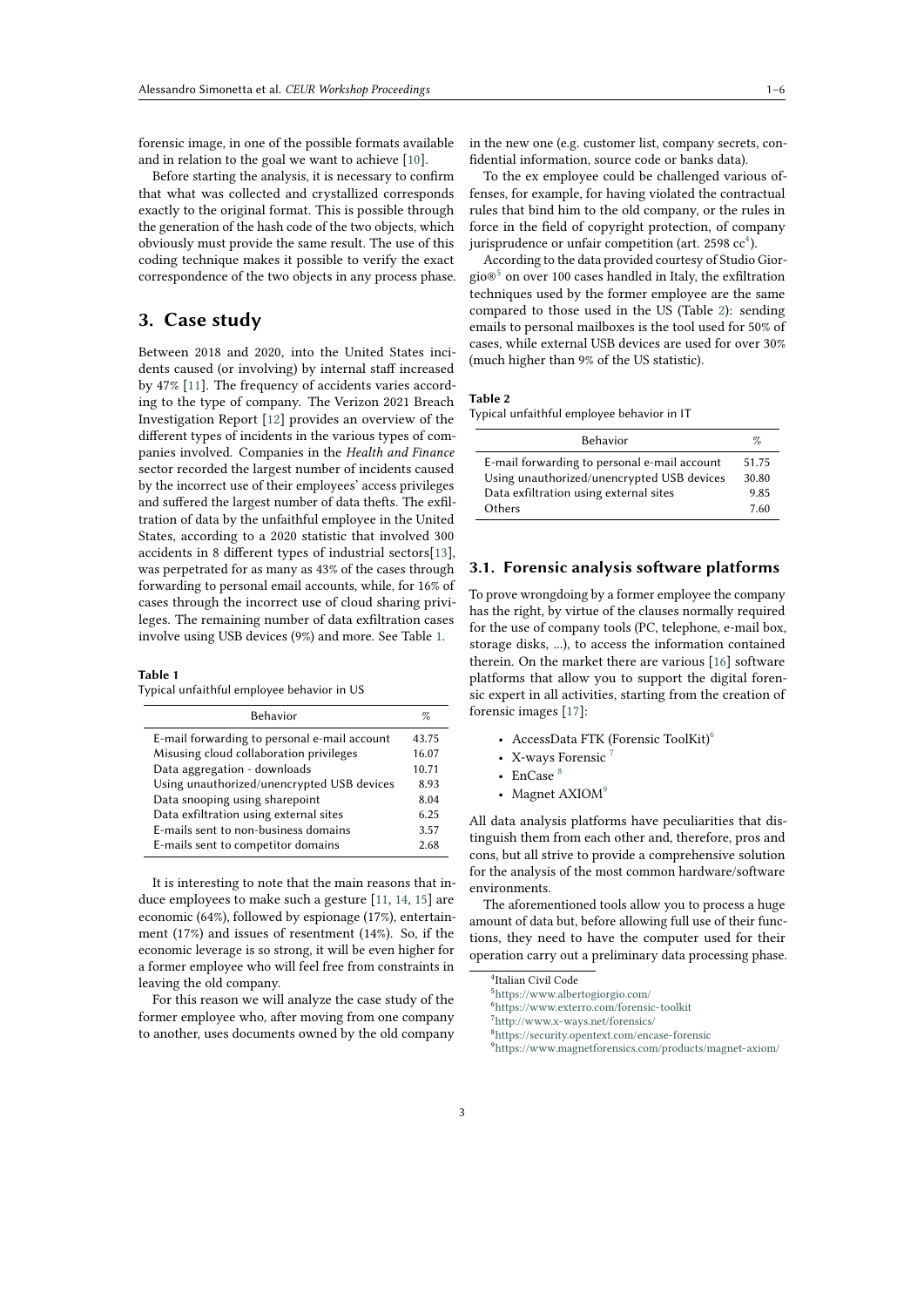forensic image, in one of the possible formats available and in relation to the goal we want to achieve [\[10\]](#page-4-6).

Before starting the analysis, it is necessary to confirm that what was collected and crystallized corresponds exactly to the original format. This is possible through the generation of the hash code of the two objects, which obviously must provide the same result. The use of this coding technique makes it possible to verify the exact correspondence of the two objects in any process phase.

## **3. Case study**

Between 2018 and 2020, into the United States incidents caused (or involving) by internal staff increased by 47% [\[11\]](#page-4-7). The frequency of accidents varies according to the type of company. The Verizon 2021 Breach Investigation Report [\[12\]](#page-4-8) provides an overview of the different types of incidents in the various types of companies involved. Companies in the *Health and Finance* sector recorded the largest number of incidents caused by the incorrect use of their employees' access privileges and suffered the largest number of data thefts. The exfiltration of data by the unfaithful employee in the United States, according to a 2020 statistic that involved 300 accidents in 8 different types of industrial sectors[\[13\]](#page-4-9), was perpetrated for as many as 43% of the cases through forwarding to personal email accounts, while, for 16% of cases through the incorrect use of cloud sharing privileges. The remaining number of data exfiltration cases involve using USB devices (9%) and more. See Table [1.](#page-2-0)

#### <span id="page-2-0"></span>**Table 1**

Typical unfaithful employee behavior in US

| <b>Behavior</b>                              | %     |
|----------------------------------------------|-------|
| E-mail forwarding to personal e-mail account | 43.75 |
| Misusing cloud collaboration privileges      | 16.07 |
| Data aggregation - downloads                 | 10.71 |
| Using unauthorized/unencrypted USB devices   | 8.93  |
| Data snooping using sharepoint               | 8.04  |
| Data exfiltration using external sites       | 6.25  |
| E-mails sent to non-business domains         | 3.57  |
| E-mails sent to competitor domains           | 2.68  |

It is interesting to note that the main reasons that induce employees to make such a gesture [\[11,](#page-4-7) [14,](#page-5-0) [15\]](#page-5-1) are economic (64%), followed by espionage (17%), entertainment (17%) and issues of resentment (14%). So, if the economic leverage is so strong, it will be even higher for a former employee who will feel free from constraints in leaving the old company.

For this reason we will analyze the case study of the former employee who, after moving from one company to another, uses documents owned by the old company in the new one (e.g. customer list, company secrets, confidential information, source code or banks data).

To the ex employee could be challenged various offenses, for example, for having violated the contractual rules that bind him to the old company, or the rules in force in the field of copyright protection, of company jurisprudence or unfair competition (art. 2598  $\rm cc^4$  $\rm cc^4$ ).

According to the data provided courtesy of Studio Giorgio<br/>® $^5$  $^5$  on over 100 cases handled in Italy, the exfiltration techniques used by the former employee are the same compared to those used in the US (Table [2\)](#page-2-3): sending emails to personal mailboxes is the tool used for 50% of cases, while external USB devices are used for over 30% (much higher than 9% of the US statistic).

### <span id="page-2-3"></span>**Table 2**

Typical unfaithful employee behavior in IT

| <b>Behavior</b>                              | %     |
|----------------------------------------------|-------|
| E-mail forwarding to personal e-mail account | 51.75 |
| Using unauthorized/unencrypted USB devices   | 30.80 |
| Data exfiltration using external sites       | 9.85  |
| Others                                       | 7.60  |

#### **3.1. Forensic analysis software platforms**

To prove wrongdoing by a former employee the company has the right, by virtue of the clauses normally required for the use of company tools (PC, telephone, e-mail box, storage disks, ...), to access the information contained therein. On the market there are various [\[16\]](#page-5-2) software platforms that allow you to support the digital forensic expert in all activities, starting from the creation of forensic images [\[17\]](#page-5-3):

- AccessData FTK (Forensic ToolKit)<sup>[6](#page-2-4)</sup>
- X-ways Forensic
- EnCase  $8$
- Magnet  $AXIOM<sup>9</sup>$  $AXIOM<sup>9</sup>$  $AXIOM<sup>9</sup>$

All data analysis platforms have peculiarities that distinguish them from each other and, therefore, pros and cons, but all strive to provide a comprehensive solution for the analysis of the most common hardware/software environments.

The aforementioned tools allow you to process a huge amount of data but, before allowing full use of their functions, they need to have the computer used for their operation carry out a preliminary data processing phase.

<span id="page-2-1"></span><sup>4</sup> Italian Civil Code

<span id="page-2-2"></span><sup>5</sup><https://www.albertogiorgio.com/>

<span id="page-2-4"></span><sup>6</sup><https://www.exterro.com/forensic-toolkit>

<span id="page-2-5"></span><sup>7</sup><http://www.x-ways.net/forensics/>

<span id="page-2-6"></span><sup>8</sup><https://security.opentext.com/encase-forensic>

<span id="page-2-7"></span><sup>9</sup><https://www.magnetforensics.com/products/magnet-axiom/>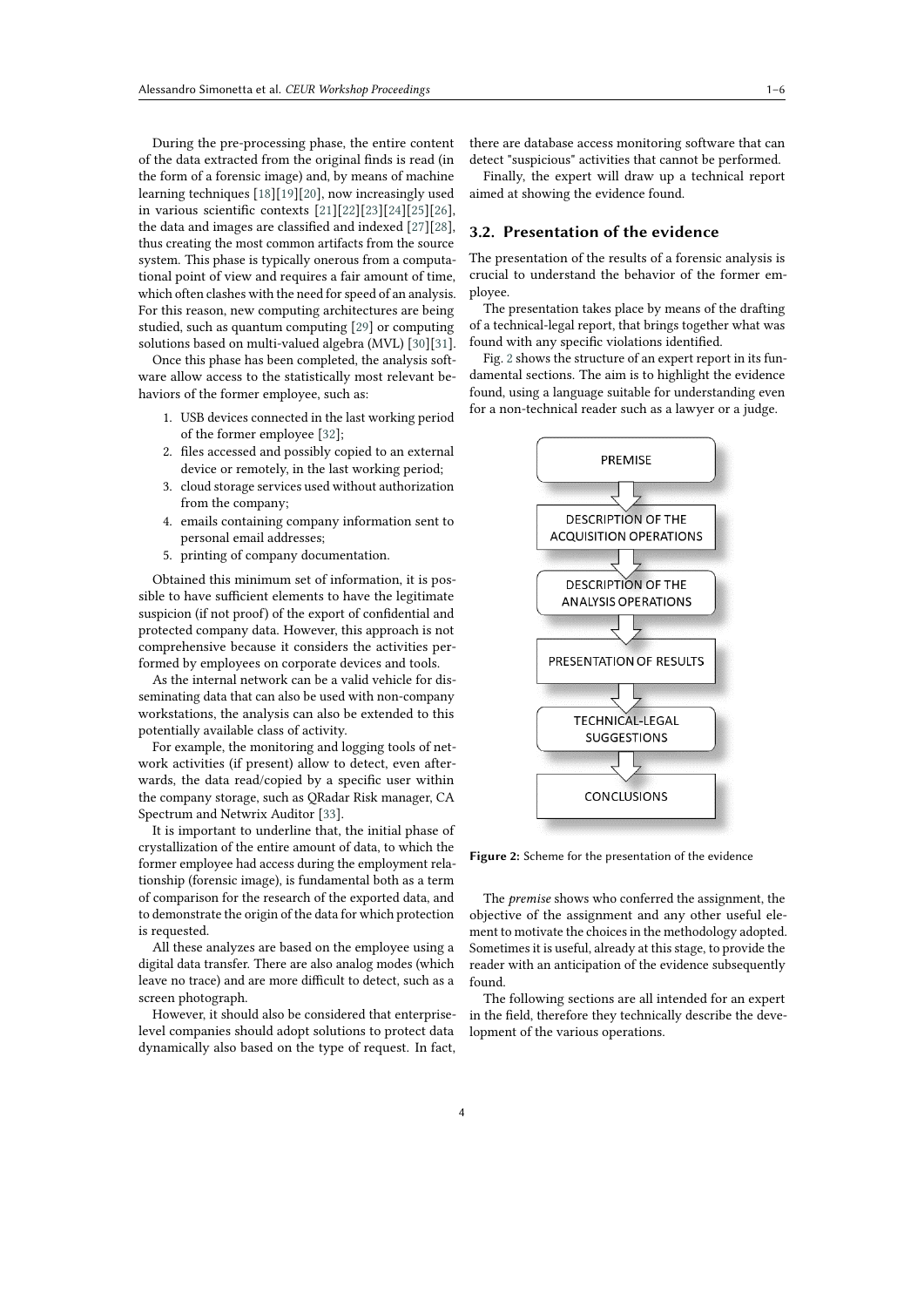During the pre-processing phase, the entire content of the data extracted from the original finds is read (in the form of a forensic image) and, by means of machine learning techniques [\[18\]](#page-5-4)[\[19\]](#page-5-5)[\[20\]](#page-5-6), now increasingly used in various scientific contexts [\[21\]](#page-5-7)[\[22\]](#page-5-8)[\[23\]](#page-5-9)[\[24\]](#page-5-10)[\[25\]](#page-5-11)[\[26\]](#page-5-12), the data and images are classified and indexed [\[27\]](#page-5-13)[\[28\]](#page-5-14), thus creating the most common artifacts from the source system. This phase is typically onerous from a computational point of view and requires a fair amount of time, which often clashes with the need for speed of an analysis. For this reason, new computing architectures are being studied, such as quantum computing [\[29\]](#page-5-15) or computing solutions based on multi-valued algebra (MVL) [\[30\]](#page-5-16)[\[31\]](#page-5-17).

Once this phase has been completed, the analysis software allow access to the statistically most relevant behaviors of the former employee, such as:

- 1. USB devices connected in the last working period of the former employee [\[32\]](#page-5-18);
- 2. files accessed and possibly copied to an external device or remotely, in the last working period;
- 3. cloud storage services used without authorization from the company;
- 4. emails containing company information sent to personal email addresses;
- 5. printing of company documentation.

Obtained this minimum set of information, it is possible to have sufficient elements to have the legitimate suspicion (if not proof) of the export of confidential and protected company data. However, this approach is not comprehensive because it considers the activities performed by employees on corporate devices and tools.

As the internal network can be a valid vehicle for disseminating data that can also be used with non-company workstations, the analysis can also be extended to this potentially available class of activity.

For example, the monitoring and logging tools of network activities (if present) allow to detect, even afterwards, the data read/copied by a specific user within the company storage, such as QRadar Risk manager, CA Spectrum and Netwrix Auditor [\[33\]](#page-5-19).

It is important to underline that, the initial phase of crystallization of the entire amount of data, to which the former employee had access during the employment relationship (forensic image), is fundamental both as a term of comparison for the research of the exported data, and to demonstrate the origin of the data for which protection is requested.

All these analyzes are based on the employee using a digital data transfer. There are also analog modes (which leave no trace) and are more difficult to detect, such as a screen photograph.

However, it should also be considered that enterpriselevel companies should adopt solutions to protect data dynamically also based on the type of request. In fact, there are database access monitoring software that can detect "suspicious" activities that cannot be performed.

Finally, the expert will draw up a technical report aimed at showing the evidence found.

### **3.2. Presentation of the evidence**

The presentation of the results of a forensic analysis is crucial to understand the behavior of the former employee.

The presentation takes place by means of the drafting of a technical-legal report, that brings together what was found with any specific violations identified.

Fig. [2](#page-3-0) shows the structure of an expert report in its fundamental sections. The aim is to highlight the evidence found, using a language suitable for understanding even for a non-technical reader such as a lawyer or a judge.



<span id="page-3-0"></span>**Figure 2:** Scheme for the presentation of the evidence

The *premise* shows who conferred the assignment, the objective of the assignment and any other useful element to motivate the choices in the methodology adopted. Sometimes it is useful, already at this stage, to provide the reader with an anticipation of the evidence subsequently found.

The following sections are all intended for an expert in the field, therefore they technically describe the development of the various operations.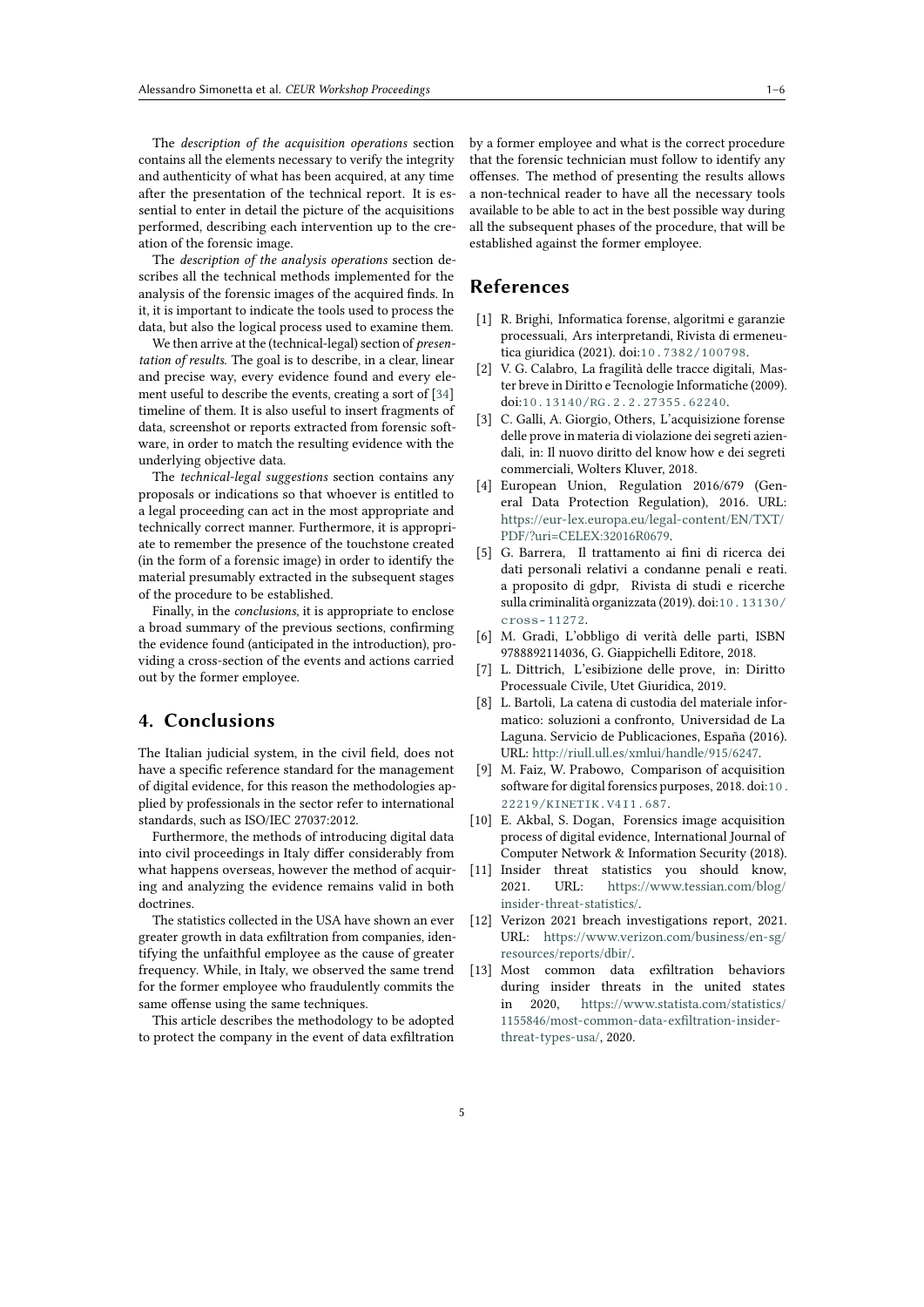The *description of the acquisition operations* section contains all the elements necessary to verify the integrity and authenticity of what has been acquired, at any time after the presentation of the technical report. It is essential to enter in detail the picture of the acquisitions performed, describing each intervention up to the creation of the forensic image.

The *description of the analysis operations* section describes all the technical methods implemented for the analysis of the forensic images of the acquired finds. In it, it is important to indicate the tools used to process the data, but also the logical process used to examine them.

We then arrive at the (technical-legal) section of *presentation of results*. The goal is to describe, in a clear, linear and precise way, every evidence found and every element useful to describe the events, creating a sort of [\[34\]](#page-5-20) timeline of them. It is also useful to insert fragments of data, screenshot or reports extracted from forensic software, in order to match the resulting evidence with the underlying objective data.

The *technical-legal suggestions* section contains any proposals or indications so that whoever is entitled to a legal proceeding can act in the most appropriate and technically correct manner. Furthermore, it is appropriate to remember the presence of the touchstone created (in the form of a forensic image) in order to identify the material presumably extracted in the subsequent stages of the procedure to be established.

Finally, in the *conclusions*, it is appropriate to enclose a broad summary of the previous sections, confirming the evidence found (anticipated in the introduction), providing a cross-section of the events and actions carried out by the former employee.

# **4. Conclusions**

The Italian judicial system, in the civil field, does not have a specific reference standard for the management of digital evidence, for this reason the methodologies applied by professionals in the sector refer to international standards, such as ISO/IEC 27037:2012.

Furthermore, the methods of introducing digital data into civil proceedings in Italy differ considerably from what happens overseas, however the method of acquiring and analyzing the evidence remains valid in both doctrines.

The statistics collected in the USA have shown an ever greater growth in data exfiltration from companies, identifying the unfaithful employee as the cause of greater frequency. While, in Italy, we observed the same trend for the former employee who fraudulently commits the same offense using the same techniques.

This article describes the methodology to be adopted to protect the company in the event of data exfiltration

by a former employee and what is the correct procedure that the forensic technician must follow to identify any offenses. The method of presenting the results allows a non-technical reader to have all the necessary tools available to be able to act in the best possible way during all the subsequent phases of the procedure, that will be established against the former employee.

### **References**

- [1] R. Brighi, Informatica forense, algoritmi e garanzie processuali, Ars interpretandi, Rivista di ermeneutica giuridica (2021). doi:[10.7382/100798](http://dx.doi.org/10.7382/100798).
- [2] V. G. Calabro, La fragilità delle tracce digitali, Master breve in Diritto e Tecnologie Informatiche (2009). doi:[10.13140/RG.2.2.27355.62240](http://dx.doi.org/10.13140/RG.2.2.27355.62240).
- [3] C. Galli, A. Giorgio, Others, L'acquisizione forense delle prove in materia di violazione dei segreti aziendali, in: Il nuovo diritto del know how e dei segreti commerciali, Wolters Kluver, 2018.
- <span id="page-4-0"></span>[4] European Union, Regulation 2016/679 (General Data Protection Regulation), 2016. URL: [https://eur-lex.europa.eu/legal-content/EN/TXT/](https://eur-lex.europa.eu/legal-content/EN/TXT/PDF/?uri=CELEX:32016R0679) [PDF/?uri=CELEX:32016R0679.](https://eur-lex.europa.eu/legal-content/EN/TXT/PDF/?uri=CELEX:32016R0679)
- <span id="page-4-1"></span>[5] G. Barrera, Il trattamento ai fini di ricerca dei dati personali relativi a condanne penali e reati. a proposito di gdpr, Rivista di studi e ricerche sulla criminalità organizzata (2019). doi:[10.13130/](http://dx.doi.org/10.13130/cross-11272) [cross-11272](http://dx.doi.org/10.13130/cross-11272).
- <span id="page-4-2"></span>[6] M. Gradi, L'obbligo di verità delle parti, ISBN 9788892114036, G. Giappichelli Editore, 2018.
- <span id="page-4-3"></span>[7] L. Dittrich, L'esibizione delle prove, in: Diritto Processuale Civile, Utet Giuridica, 2019.
- <span id="page-4-4"></span>[8] L. Bartoli, La catena di custodia del materiale informatico: soluzioni a confronto, Universidad de La Laguna. Servicio de Publicaciones, España (2016). URL: [http://riull.ull.es/xmlui/handle/915/6247.](http://riull.ull.es/xmlui/handle/915/6247)
- <span id="page-4-5"></span>[9] M. Faiz, W. Prabowo, Comparison of acquisition software for digital forensics purposes, 2018. doi:[10.](http://dx.doi.org/10.22219/KINETIK.V4I1.687) [22219/KINETIK.V4I1.687](http://dx.doi.org/10.22219/KINETIK.V4I1.687).
- <span id="page-4-6"></span>[10] E. Akbal, S. Dogan, Forensics image acquisition process of digital evidence, International Journal of Computer Network & Information Security (2018).
- <span id="page-4-7"></span>[11] Insider threat statistics you should know, 2021. URL: [https://www.tessian.com/blog/](https://www.tessian.com/blog/insider-threat-statistics/) [insider-threat-statistics/.](https://www.tessian.com/blog/insider-threat-statistics/)
- <span id="page-4-8"></span>[12] Verizon 2021 breach investigations report, 2021. URL: [https://www.verizon.com/business/en-sg/](https://www.verizon.com/business/en-sg/resources/reports/dbir/) [resources/reports/dbir/.](https://www.verizon.com/business/en-sg/resources/reports/dbir/)
- <span id="page-4-9"></span>[13] Most common data exfiltration behaviors during insider threats in the united states in 2020, [https://www.statista.com/statistics/](https://www.statista.com/statistics/1155846/) [1155846/](https://www.statista.com/statistics/1155846/)[most-common-data-exfiltration-insider](most-common-data-exfiltration-insider-)[threat-types-usa/,](threat-types-usa/) 2020.